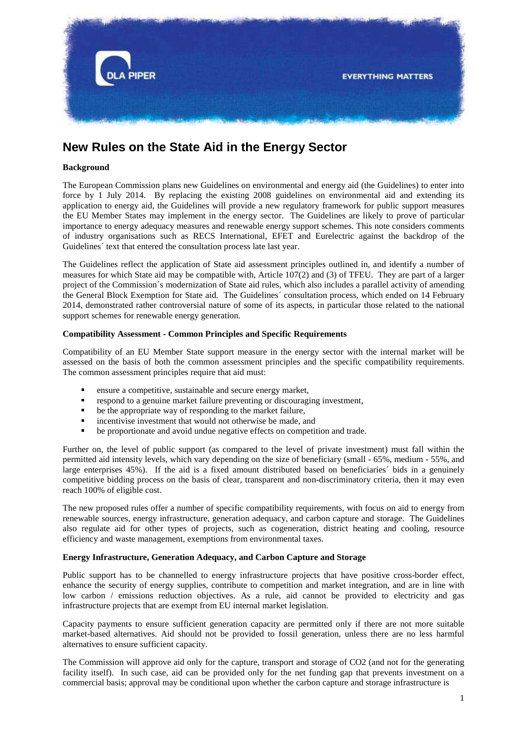

# **New Rules on the State Aid in the Energy Sector**

# **Background**

The European Commission plans new Guidelines on environmental and energy aid (the Guidelines) to enter into force by 1 July 2014. By replacing the existing 2008 guidelines on environmental aid and extending its application to energy aid, the Guidelines will provide a new regulatory framework for public support measures the EU Member States may implement in the energy sector. The Guidelines are likely to prove of particular importance to energy adequacy measures and renewable energy support schemes. This note considers comments of industry organisations such as RECS International, EFET and Eurelectric against the backdrop of the Guidelines´ text that entered the consultation process late last year.

The Guidelines reflect the application of State aid assessment principles outlined in, and identify a number of measures for which State aid may be compatible with, Article 107(2) and (3) of TFEU. They are part of a larger project of the Commission´s modernization of State aid rules, which also includes a parallel activity of amending the General Block Exemption for State aid. The Guidelines´ consultation process, which ended on 14 February 2014, demonstrated rather controversial nature of some of its aspects, in particular those related to the national support schemes for renewable energy generation.

# **Compatibility Assessment - Common Principles and Specific Requirements**

Compatibility of an EU Member State support measure in the energy sector with the internal market will be assessed on the basis of both the common assessment principles and the specific compatibility requirements. The common assessment principles require that aid must:

- ensure a competitive, sustainable and secure energy market,
- respond to a genuine market failure preventing or discouraging investment,
- be the appropriate way of responding to the market failure,
- incentivise investment that would not otherwise be made, and
- be proportionate and avoid undue negative effects on competition and trade.

Further on, the level of public support (as compared to the level of private investment) must fall within the permitted aid intensity levels, which vary depending on the size of beneficiary (small - 65%, medium - 55%, and large enterprises 45%). If the aid is a fixed amount distributed based on beneficiaries´ bids in a genuinely competitive bidding process on the basis of clear, transparent and non-discriminatory criteria, then it may even reach 100% of eligible cost.

The new proposed rules offer a number of specific compatibility requirements, with focus on aid to energy from renewable sources, energy infrastructure, generation adequacy, and carbon capture and storage. The Guidelines also regulate aid for other types of projects, such as cogeneration, district heating and cooling, resource efficiency and waste management, exemptions from environmental taxes.

## **Energy Infrastructure, Generation Adequacy, and Carbon Capture and Storage**

Public support has to be channelled to energy infrastructure projects that have positive cross-border effect, enhance the security of energy supplies, contribute to competition and market integration, and are in line with low carbon / emissions reduction objectives. As a rule, aid cannot be provided to electricity and gas infrastructure projects that are exempt from EU internal market legislation.

Capacity payments to ensure sufficient generation capacity are permitted only if there are not more suitable market-based alternatives. Aid should not be provided to fossil generation, unless there are no less harmful alternatives to ensure sufficient capacity.

The Commission will approve aid only for the capture, transport and storage of CO2 (and not for the generating facility itself). In such case, aid can be provided only for the net funding gap that prevents investment on a commercial basis; approval may be conditional upon whether the carbon capture and storage infrastructure is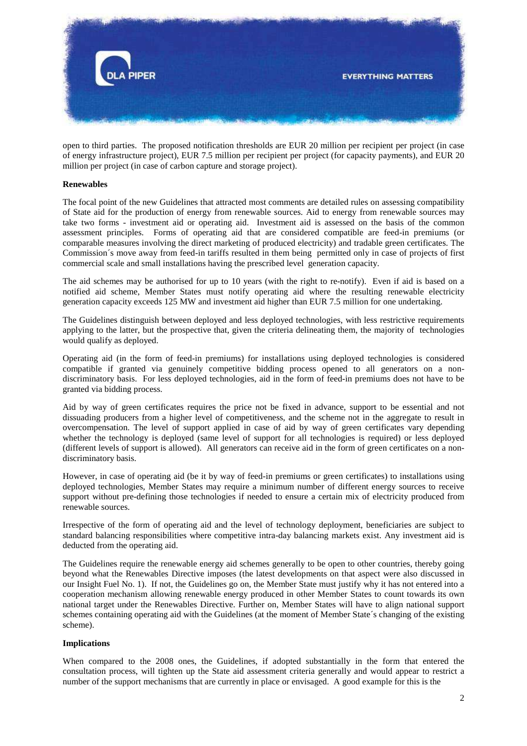

open to third parties. The proposed notification thresholds are EUR 20 million per recipient per project (in case of energy infrastructure project), EUR 7.5 million per recipient per project (for capacity payments), and EUR 20 million per project (in case of carbon capture and storage project).

#### **Renewables**

The focal point of the new Guidelines that attracted most comments are detailed rules on assessing compatibility of State aid for the production of energy from renewable sources. Aid to energy from renewable sources may take two forms - investment aid or operating aid. Investment aid is assessed on the basis of the common assessment principles. Forms of operating aid that are considered compatible are feed-in premiums (or comparable measures involving the direct marketing of produced electricity) and tradable green certificates. The Commission´s move away from feed-in tariffs resulted in them being permitted only in case of projects of first commercial scale and small installations having the prescribed level generation capacity.

The aid schemes may be authorised for up to 10 years (with the right to re-notify). Even if aid is based on a notified aid scheme, Member States must notify operating aid where the resulting renewable electricity generation capacity exceeds 125 MW and investment aid higher than EUR 7.5 million for one undertaking.

The Guidelines distinguish between deployed and less deployed technologies, with less restrictive requirements applying to the latter, but the prospective that, given the criteria delineating them, the majority of technologies would qualify as deployed.

Operating aid (in the form of feed-in premiums) for installations using deployed technologies is considered compatible if granted via genuinely competitive bidding process opened to all generators on a nondiscriminatory basis. For less deployed technologies, aid in the form of feed-in premiums does not have to be granted via bidding process.

Aid by way of green certificates requires the price not be fixed in advance, support to be essential and not dissuading producers from a higher level of competitiveness, and the scheme not in the aggregate to result in overcompensation. The level of support applied in case of aid by way of green certificates vary depending whether the technology is deployed (same level of support for all technologies is required) or less deployed (different levels of support is allowed). All generators can receive aid in the form of green certificates on a nondiscriminatory basis.

However, in case of operating aid (be it by way of feed-in premiums or green certificates) to installations using deployed technologies, Member States may require a minimum number of different energy sources to receive support without pre-defining those technologies if needed to ensure a certain mix of electricity produced from renewable sources.

Irrespective of the form of operating aid and the level of technology deployment, beneficiaries are subject to standard balancing responsibilities where competitive intra-day balancing markets exist. Any investment aid is deducted from the operating aid.

The Guidelines require the renewable energy aid schemes generally to be open to other countries, thereby going beyond what the Renewables Directive imposes (the latest developments on that aspect were also discussed in our Insight Fuel No. 1). If not, the Guidelines go on, the Member State must justify why it has not entered into a cooperation mechanism allowing renewable energy produced in other Member States to count towards its own national target under the Renewables Directive. Further on, Member States will have to align national support schemes containing operating aid with the Guidelines (at the moment of Member State´s changing of the existing scheme).

## **Implications**

When compared to the 2008 ones, the Guidelines, if adopted substantially in the form that entered the consultation process, will tighten up the State aid assessment criteria generally and would appear to restrict a number of the support mechanisms that are currently in place or envisaged. A good example for this is the